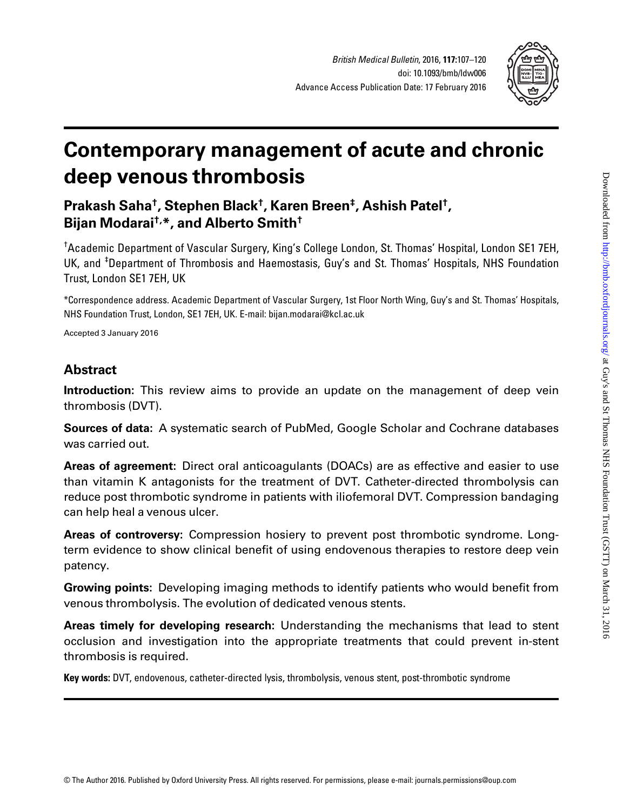

# Contemporary management of acute and chronic deep venous thrombosis

# Prakash Saha†, Stephen Black†, Karen Breen‡, Ashish Patel†, Bijan Modarai†, \*, and Alberto Smith†

† Academic Department of Vascular Surgery, King's College London, St. Thomas' Hospital, London SE1 7EH, UK, and <sup>‡</sup>Department of Thrombosis and Haemostasis, Guy's and St. Thomas' Hospitals, NHS Foundation Trust, London SE1 7EH, UK

\*Correspondence address. Academic Department of Vascular Surgery, 1st Floor North Wing, Guy's and St. Thomas' Hospitals, NHS Foundation Trust, London, SE1 7EH, UK. E-mail: bijan.modarai@kcl.ac.uk

Accepted 3 January 2016

# **Abstract**

Introduction: This review aims to provide an update on the management of deep vein thrombosis (DVT).

Sources of data: A systematic search of PubMed, Google Scholar and Cochrane databases was carried out.

Areas of agreement: Direct oral anticoagulants (DOACs) are as effective and easier to use than vitamin K antagonists for the treatment of DVT. Catheter-directed thrombolysis can reduce post thrombotic syndrome in patients with iliofemoral DVT. Compression bandaging can help heal a venous ulcer.

Areas of controversy: Compression hosiery to prevent post thrombotic syndrome. Longterm evidence to show clinical benefit of using endovenous therapies to restore deep vein patency.

Growing points: Developing imaging methods to identify patients who would benefit from venous thrombolysis. The evolution of dedicated venous stents.

Areas timely for developing research: Understanding the mechanisms that lead to stent occlusion and investigation into the appropriate treatments that could prevent in-stent thrombosis is required.

Key words: DVT, endovenous, catheter-directed lysis, thrombolysis, venous stent, post-thrombotic syndrome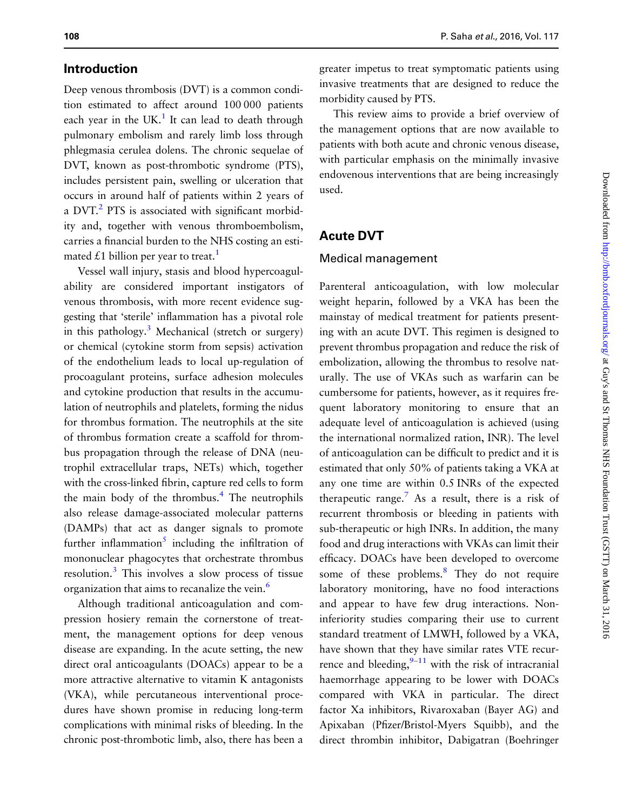# Introduction

Deep venous thrombosis (DVT) is a common condition estimated to affect around 100 000 patients each year in the UK $<sup>1</sup>$  $<sup>1</sup>$  $<sup>1</sup>$  It can lead to death through</sup> pulmonary embolism and rarely limb loss through phlegmasia cerulea dolens. The chronic sequelae of DVT, known as post-thrombotic syndrome (PTS), includes persistent pain, swelling or ulceration that occurs in around half of patients within 2 years of a DVT.<sup>[2](#page-10-0)</sup> PTS is associated with significant morbidity and, together with venous thromboembolism, carries a financial burden to the NHS costing an esti-mated £[1](#page-10-0) billion per year to treat.<sup>1</sup>

Vessel wall injury, stasis and blood hypercoagulability are considered important instigators of venous thrombosis, with more recent evidence suggesting that 'sterile' inflammation has a pivotal role in this pathology.<sup>3</sup> Mechanical (stretch or surgery) or chemical (cytokine storm from sepsis) activation of the endothelium leads to local up-regulation of procoagulant proteins, surface adhesion molecules and cytokine production that results in the accumulation of neutrophils and platelets, forming the nidus for thrombus formation. The neutrophils at the site of thrombus formation create a scaffold for thrombus propagation through the release of DNA (neutrophil extracellular traps, NETs) which, together with the cross-linked fibrin, capture red cells to form the main body of the thrombus.<sup>[4](#page-10-0)</sup> The neutrophils also release damage-associated molecular patterns (DAMPs) that act as danger signals to promote further inflammation<sup>[5](#page-10-0)</sup> including the infiltration of mononuclear phagocytes that orchestrate thrombus resolution.[3](#page-10-0) This involves a slow process of tissue organization that aims to recanalize the vein.[6](#page-10-0)

Although traditional anticoagulation and compression hosiery remain the cornerstone of treatment, the management options for deep venous disease are expanding. In the acute setting, the new direct oral anticoagulants (DOACs) appear to be a more attractive alternative to vitamin K antagonists (VKA), while percutaneous interventional procedures have shown promise in reducing long-term complications with minimal risks of bleeding. In the chronic post-thrombotic limb, also, there has been a

greater impetus to treat symptomatic patients using invasive treatments that are designed to reduce the morbidity caused by PTS.

This review aims to provide a brief overview of the management options that are now available to patients with both acute and chronic venous disease, with particular emphasis on the minimally invasive endovenous interventions that are being increasingly used.

# Acute DVT

#### Medical management

Parenteral anticoagulation, with low molecular weight heparin, followed by a VKA has been the mainstay of medical treatment for patients presenting with an acute DVT. This regimen is designed to prevent thrombus propagation and reduce the risk of embolization, allowing the thrombus to resolve naturally. The use of VKAs such as warfarin can be cumbersome for patients, however, as it requires frequent laboratory monitoring to ensure that an adequate level of anticoagulation is achieved (using the international normalized ration, INR). The level of anticoagulation can be difficult to predict and it is estimated that only 50% of patients taking a VKA at any one time are within 0.5 INRs of the expected therapeutic range.<sup>[7](#page-10-0)</sup> As a result, there is a risk of recurrent thrombosis or bleeding in patients with sub-therapeutic or high INRs. In addition, the many food and drug interactions with VKAs can limit their efficacy. DOACs have been developed to overcome some of these problems.<sup>8</sup> They do not require laboratory monitoring, have no food interactions and appear to have few drug interactions. Noninferiority studies comparing their use to current standard treatment of LMWH, followed by a VKA, have shown that they have similar rates VTE recurrence and bleeding,  $9-11$  $9-11$  with the risk of intracranial haemorrhage appearing to be lower with DOACs compared with VKA in particular. The direct factor Xa inhibitors, Rivaroxaban (Bayer AG) and Apixaban (Pfizer/Bristol-Myers Squibb), and the direct thrombin inhibitor, Dabigatran (Boehringer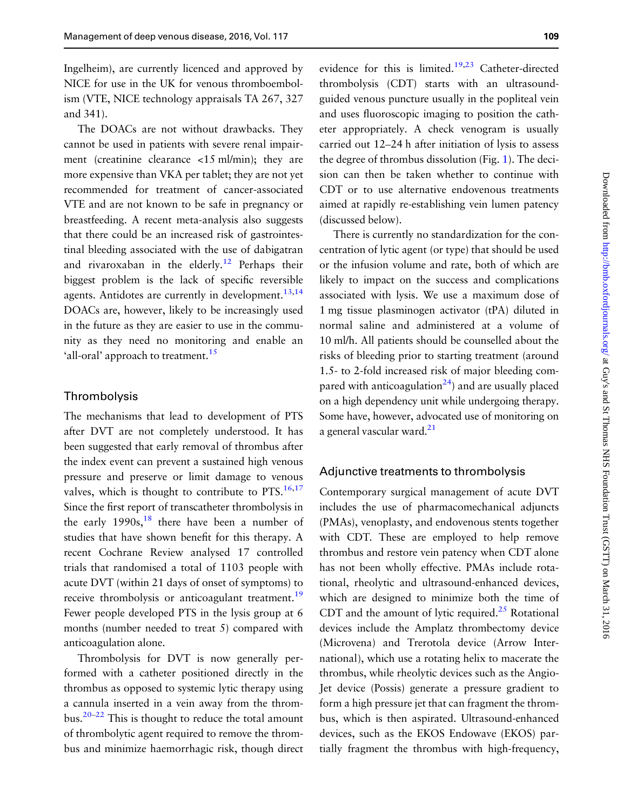Ingelheim), are currently licenced and approved by NICE for use in the UK for venous thromboembolism (VTE, NICE technology appraisals TA 267, 327 and 341).

The DOACs are not without drawbacks. They cannot be used in patients with severe renal impairment (creatinine clearance <15 ml/min); they are more expensive than VKA per tablet; they are not yet recommended for treatment of cancer-associated VTE and are not known to be safe in pregnancy or breastfeeding. A recent meta-analysis also suggests that there could be an increased risk of gastrointestinal bleeding associated with the use of dabigatran and rivaroxaban in the elderly.<sup>[12](#page-10-0)</sup> Perhaps their biggest problem is the lack of specific reversible agents. Antidotes are currently in development. $13,14$ DOACs are, however, likely to be increasingly used in the future as they are easier to use in the community as they need no monitoring and enable an 'all-oral' approach to treatment.<sup>[15](#page-10-0)</sup>

# Thrombolysis

The mechanisms that lead to development of PTS after DVT are not completely understood. It has been suggested that early removal of thrombus after the index event can prevent a sustained high venous pressure and preserve or limit damage to venous valves, which is thought to contribute to  $PTS<sub>16,17</sub>$  $PTS<sub>16,17</sub>$  $PTS<sub>16,17</sub>$ Since the first report of transcatheter thrombolysis in the early  $1990s<sub>18</sub><sup>18</sup>$  there have been a number of studies that have shown benefit for this therapy. A recent Cochrane Review analysed 17 controlled trials that randomised a total of 1103 people with acute DVT (within 21 days of onset of symptoms) to receive thrombolysis or anticoagulant treatment.<sup>19</sup> Fewer people developed PTS in the lysis group at 6 months (number needed to treat 5) compared with anticoagulation alone.

Thrombolysis for DVT is now generally performed with a catheter positioned directly in the thrombus as opposed to systemic lytic therapy using a cannula inserted in a vein away from the thrombus.[20](#page-10-0)–[22](#page-10-0) This is thought to reduce the total amount of thrombolytic agent required to remove the thrombus and minimize haemorrhagic risk, though direct evidence for this is limited.<sup>[19,23](#page-10-0)</sup> Catheter-directed thrombolysis (CDT) starts with an ultrasoundguided venous puncture usually in the popliteal vein and uses fluoroscopic imaging to position the catheter appropriately. A check venogram is usually carried out 12–24 h after initiation of lysis to assess the degree of thrombus dissolution (Fig. [1](#page-3-0)). The decision can then be taken whether to continue with CDT or to use alternative endovenous treatments aimed at rapidly re-establishing vein lumen patency (discussed below).

There is currently no standardization for the concentration of lytic agent (or type) that should be used or the infusion volume and rate, both of which are likely to impact on the success and complications associated with lysis. We use a maximum dose of 1 mg tissue plasminogen activator (tPA) diluted in normal saline and administered at a volume of 10 ml/h. All patients should be counselled about the risks of bleeding prior to starting treatment (around 1.5- to 2-fold increased risk of major bleeding com-pared with anticoagulation<sup>[24](#page-11-0)</sup>) and are usually placed on a high dependency unit while undergoing therapy. Some have, however, advocated use of monitoring on a general vascular ward.<sup>[21](#page-10-0)</sup>

### Adjunctive treatments to thrombolysis

Contemporary surgical management of acute DVT includes the use of pharmacomechanical adjuncts (PMAs), venoplasty, and endovenous stents together with CDT. These are employed to help remove thrombus and restore vein patency when CDT alone has not been wholly effective. PMAs include rotational, rheolytic and ultrasound-enhanced devices, which are designed to minimize both the time of CDT and the amount of lytic required.<sup>[25](#page-11-0)</sup> Rotational devices include the Amplatz thrombectomy device (Microvena) and Trerotola device (Arrow International), which use a rotating helix to macerate the thrombus, while rheolytic devices such as the Angio-Jet device (Possis) generate a pressure gradient to form a high pressure jet that can fragment the thrombus, which is then aspirated. Ultrasound-enhanced devices, such as the EKOS Endowave (EKOS) partially fragment the thrombus with high-frequency,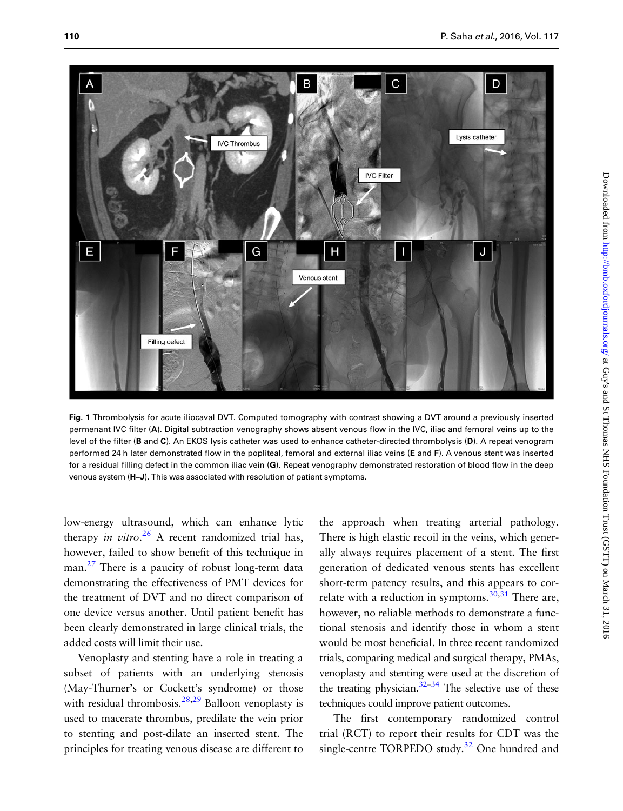<span id="page-3-0"></span>

Fig. 1 Thrombolysis for acute iliocaval DVT. Computed tomography with contrast showing a DVT around a previously inserted permenant IVC filter (A). Digital subtraction venography shows absent venous flow in the IVC, iliac and femoral veins up to the level of the filter (B and C). An EKOS lysis catheter was used to enhance catheter-directed thrombolysis (D). A repeat venogram performed 24 h later demonstrated flow in the popliteal, femoral and external iliac veins (E and F). A venous stent was inserted for a residual filling defect in the common iliac vein (G). Repeat venography demonstrated restoration of blood flow in the deep venous system (H–J). This was associated with resolution of patient symptoms.

low-energy ultrasound, which can enhance lytic therapy in vitro.<sup>[26](#page-11-0)</sup> A recent randomized trial has, however, failed to show benefit of this technique in man.<sup>[27](#page-11-0)</sup> There is a paucity of robust long-term data demonstrating the effectiveness of PMT devices for the treatment of DVT and no direct comparison of one device versus another. Until patient benefit has been clearly demonstrated in large clinical trials, the added costs will limit their use.

Venoplasty and stenting have a role in treating a subset of patients with an underlying stenosis (May-Thurner's or Cockett's syndrome) or those with residual thrombosis.<sup>28,29</sup> Balloon venoplasty is used to macerate thrombus, predilate the vein prior to stenting and post-dilate an inserted stent. The principles for treating venous disease are different to

the approach when treating arterial pathology. There is high elastic recoil in the veins, which generally always requires placement of a stent. The first generation of dedicated venous stents has excellent short-term patency results, and this appears to correlate with a reduction in symptoms.  $30,31$  There are, however, no reliable methods to demonstrate a functional stenosis and identify those in whom a stent would be most beneficial. In three recent randomized trials, comparing medical and surgical therapy, PMAs, venoplasty and stenting were used at the discretion of the treating physician.<sup>32–[34](#page-11-0)</sup> The selective use of these techniques could improve patient outcomes.

The first contemporary randomized control trial (RCT) to report their results for CDT was the single-centre TORPEDO study.<sup>[32](#page-11-0)</sup> One hundred and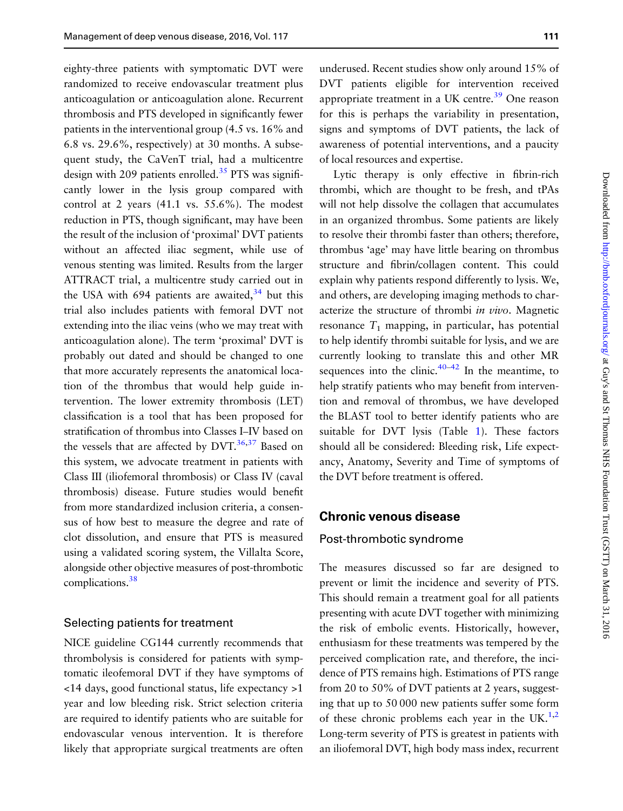eighty-three patients with symptomatic DVT were randomized to receive endovascular treatment plus anticoagulation or anticoagulation alone. Recurrent thrombosis and PTS developed in significantly fewer patients in the interventional group (4.5 vs. 16% and 6.8 vs. 29.6%, respectively) at 30 months. A subsequent study, the CaVenT trial, had a multicentre design with 209 patients enrolled.<sup>[35](#page-11-0)</sup> PTS was significantly lower in the lysis group compared with control at 2 years (41.1 vs. 55.6%). The modest reduction in PTS, though significant, may have been the result of the inclusion of 'proximal' DVT patients without an affected iliac segment, while use of venous stenting was limited. Results from the larger ATTRACT trial, a multicentre study carried out in the USA with 694 patients are awaited, $34$  but this trial also includes patients with femoral DVT not extending into the iliac veins (who we may treat with anticoagulation alone). The term 'proximal' DVT is probably out dated and should be changed to one that more accurately represents the anatomical location of the thrombus that would help guide intervention. The lower extremity thrombosis (LET) classification is a tool that has been proposed for stratification of thrombus into Classes I–IV based on the vessels that are affected by DVT. $36,37$  $36,37$  $36,37$  Based on this system, we advocate treatment in patients with Class III (iliofemoral thrombosis) or Class IV (caval thrombosis) disease. Future studies would benefit from more standardized inclusion criteria, a consensus of how best to measure the degree and rate of clot dissolution, and ensure that PTS is measured using a validated scoring system, the Villalta Score, alongside other objective measures of post-thrombotic complications.<sup>[38](#page-11-0)</sup>

#### Selecting patients for treatment

NICE guideline CG144 currently recommends that thrombolysis is considered for patients with symptomatic ileofemoral DVT if they have symptoms of <14 days, good functional status, life expectancy >1 year and low bleeding risk. Strict selection criteria are required to identify patients who are suitable for endovascular venous intervention. It is therefore likely that appropriate surgical treatments are often

underused. Recent studies show only around 15% of DVT patients eligible for intervention received appropriate treatment in a UK centre. $39$  One reason for this is perhaps the variability in presentation, signs and symptoms of DVT patients, the lack of awareness of potential interventions, and a paucity of local resources and expertise.

Lytic therapy is only effective in fibrin-rich thrombi, which are thought to be fresh, and tPAs will not help dissolve the collagen that accumulates in an organized thrombus. Some patients are likely to resolve their thrombi faster than others; therefore, thrombus 'age' may have little bearing on thrombus structure and fibrin/collagen content. This could explain why patients respond differently to lysis. We, and others, are developing imaging methods to characterize the structure of thrombi *in vivo*. Magnetic resonance  $T_1$  mapping, in particular, has potential to help identify thrombi suitable for lysis, and we are currently looking to translate this and other MR sequences into the clinic. $40-42$  $40-42$  $40-42$  In the meantime, to help stratify patients who may benefit from intervention and removal of thrombus, we have developed the BLAST tool to better identify patients who are suitable for DVT lysis (Table [1\)](#page-5-0). These factors should all be considered: Bleeding risk, Life expectancy, Anatomy, Severity and Time of symptoms of the DVT before treatment is offered.

# Chronic venous disease

#### Post-thrombotic syndrome

The measures discussed so far are designed to prevent or limit the incidence and severity of PTS. This should remain a treatment goal for all patients presenting with acute DVT together with minimizing the risk of embolic events. Historically, however, enthusiasm for these treatments was tempered by the perceived complication rate, and therefore, the incidence of PTS remains high. Estimations of PTS range from 20 to 50% of DVT patients at 2 years, suggesting that up to 50 000 new patients suffer some form of these chronic problems each year in the UK.<sup>1,2</sup> Long-term severity of PTS is greatest in patients with an iliofemoral DVT, high body mass index, recurrent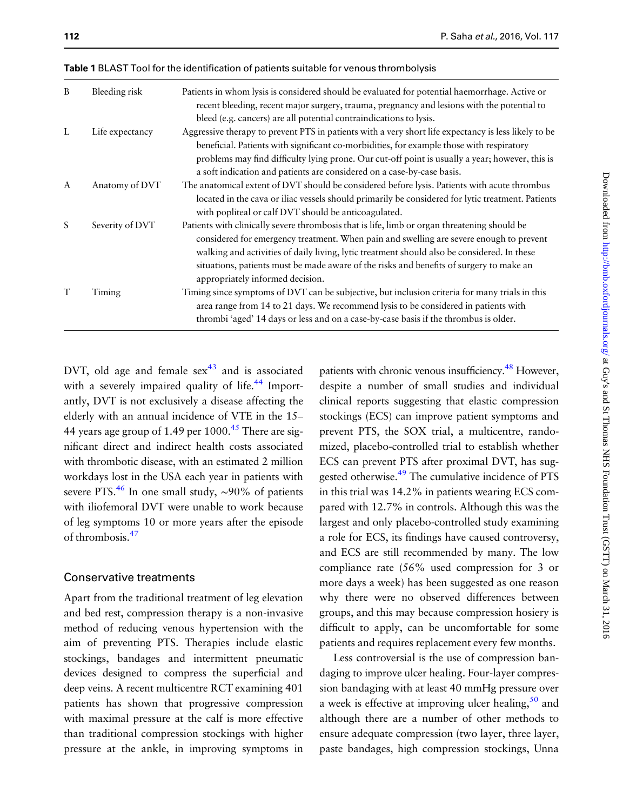| B            | Bleeding risk   | Patients in whom lysis is considered should be evaluated for potential haemorrhage. Active or<br>recent bleeding, recent major surgery, trauma, pregnancy and lesions with the potential to<br>bleed (e.g. cancers) are all potential contraindications to lysis.                                                                                                                                                     |
|--------------|-----------------|-----------------------------------------------------------------------------------------------------------------------------------------------------------------------------------------------------------------------------------------------------------------------------------------------------------------------------------------------------------------------------------------------------------------------|
| L            | Life expectancy | Aggressive therapy to prevent PTS in patients with a very short life expectancy is less likely to be<br>beneficial. Patients with significant co-morbidities, for example those with respiratory<br>problems may find difficulty lying prone. Our cut-off point is usually a year, however, this is<br>a soft indication and patients are considered on a case-by-case basis.                                         |
| A            | Anatomy of DVT  | The anatomical extent of DVT should be considered before lysis. Patients with acute thrombus<br>located in the cava or iliac vessels should primarily be considered for lytic treatment. Patients<br>with popliteal or calf DVT should be anticoagulated.                                                                                                                                                             |
| <sub>S</sub> | Severity of DVT | Patients with clinically severe thrombosis that is life, limb or organ threatening should be<br>considered for emergency treatment. When pain and swelling are severe enough to prevent<br>walking and activities of daily living, lytic treatment should also be considered. In these<br>situations, patients must be made aware of the risks and benefits of surgery to make an<br>appropriately informed decision. |
| T            | Timing          | Timing since symptoms of DVT can be subjective, but inclusion criteria for many trials in this<br>area range from 14 to 21 days. We recommend lysis to be considered in patients with<br>thrombi 'aged' 14 days or less and on a case-by-case basis if the thrombus is older.                                                                                                                                         |

<span id="page-5-0"></span>Table 1 BLAST Tool for the identification of patients suitable for venous thrombolysis

DVT, old age and female  $sex<sup>43</sup>$  $sex<sup>43</sup>$  $sex<sup>43</sup>$  and is associated with a severely impaired quality of life.<sup>[44](#page-11-0)</sup> Importantly, DVT is not exclusively a disease affecting the elderly with an annual incidence of VTE in the 15– 44 years age group of 1.49 per  $1000<sup>45</sup>$  There are significant direct and indirect health costs associated with thrombotic disease, with an estimated 2 million workdays lost in the USA each year in patients with severe PTS.<sup>[46](#page-11-0)</sup> In one small study, ∼90% of patients with iliofemoral DVT were unable to work because of leg symptoms 10 or more years after the episode of thrombosis.[47](#page-11-0)

#### Conservative treatments

Apart from the traditional treatment of leg elevation and bed rest, compression therapy is a non-invasive method of reducing venous hypertension with the aim of preventing PTS. Therapies include elastic stockings, bandages and intermittent pneumatic devices designed to compress the superficial and deep veins. A recent multicentre RCT examining 401 patients has shown that progressive compression with maximal pressure at the calf is more effective than traditional compression stockings with higher pressure at the ankle, in improving symptoms in

patients with chronic venous insufficiency.<sup>48</sup> However, despite a number of small studies and individual clinical reports suggesting that elastic compression stockings (ECS) can improve patient symptoms and prevent PTS, the SOX trial, a multicentre, randomized, placebo-controlled trial to establish whether ECS can prevent PTS after proximal DVT, has sug-gested otherwise.<sup>[49](#page-11-0)</sup> The cumulative incidence of PTS in this trial was 14.2% in patients wearing ECS compared with 12.7% in controls. Although this was the largest and only placebo-controlled study examining a role for ECS, its findings have caused controversy, and ECS are still recommended by many. The low compliance rate (56% used compression for 3 or more days a week) has been suggested as one reason why there were no observed differences between groups, and this may because compression hosiery is difficult to apply, can be uncomfortable for some patients and requires replacement every few months.

Less controversial is the use of compression bandaging to improve ulcer healing. Four-layer compression bandaging with at least 40 mmHg pressure over a week is effective at improving ulcer healing,  $50$  and although there are a number of other methods to ensure adequate compression (two layer, three layer, paste bandages, high compression stockings, Unna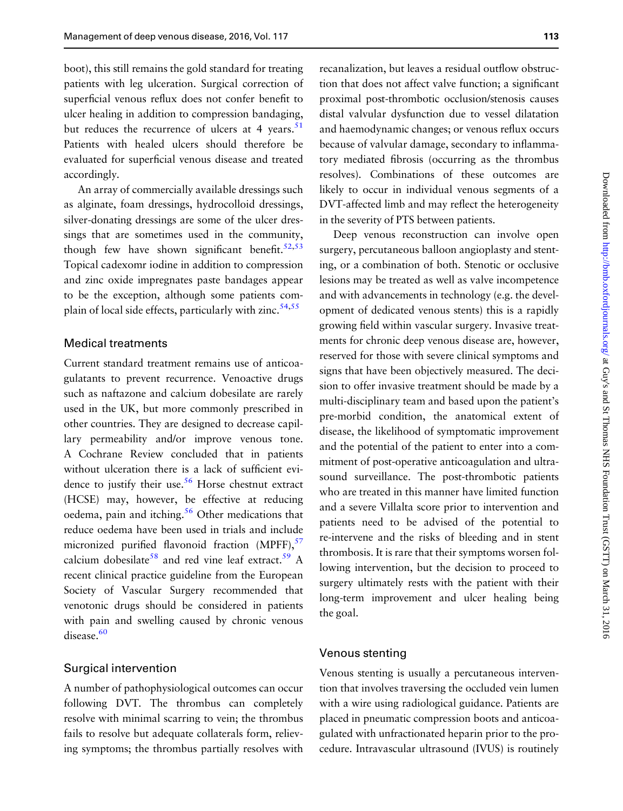boot), this still remains the gold standard for treating patients with leg ulceration. Surgical correction of superficial venous reflux does not confer benefit to ulcer healing in addition to compression bandaging, but reduces the recurrence of ulcers at 4 years.  $51$ Patients with healed ulcers should therefore be evaluated for superficial venous disease and treated accordingly.

An array of commercially available dressings such as alginate, foam dressings, hydrocolloid dressings, silver-donating dressings are some of the ulcer dressings that are sometimes used in the community, though few have shown significant benefit. $52,53$ Topical cadexomr iodine in addition to compression and zinc oxide impregnates paste bandages appear to be the exception, although some patients complain of local side effects, particularly with zinc. $54,55$  $54,55$  $54,55$ 

#### Medical treatments

Current standard treatment remains use of anticoagulatants to prevent recurrence. Venoactive drugs such as naftazone and calcium dobesilate are rarely used in the UK, but more commonly prescribed in other countries. They are designed to decrease capillary permeability and/or improve venous tone. A Cochrane Review concluded that in patients without ulceration there is a lack of sufficient evidence to justify their use.<sup>56</sup> Horse chestnut extract (HCSE) may, however, be effective at reducing oedema, pain and itching.<sup>[56](#page-12-0)</sup> Other medications that reduce oedema have been used in trials and include micronized purified flavonoid fraction  $(MPFF)$ ,  $57$ calcium dobesilate<sup>[58](#page-12-0)</sup> and red vine leaf extract.<sup>[59](#page-12-0)</sup> A recent clinical practice guideline from the European Society of Vascular Surgery recommended that venotonic drugs should be considered in patients with pain and swelling caused by chronic venous disease.<sup>[60](#page-12-0)</sup>

#### Surgical intervention

A number of pathophysiological outcomes can occur following DVT. The thrombus can completely resolve with minimal scarring to vein; the thrombus fails to resolve but adequate collaterals form, relieving symptoms; the thrombus partially resolves with

recanalization, but leaves a residual outflow obstruction that does not affect valve function; a significant proximal post-thrombotic occlusion/stenosis causes distal valvular dysfunction due to vessel dilatation and haemodynamic changes; or venous reflux occurs because of valvular damage, secondary to inflammatory mediated fibrosis (occurring as the thrombus resolves). Combinations of these outcomes are likely to occur in individual venous segments of a DVT-affected limb and may reflect the heterogeneity in the severity of PTS between patients.

Deep venous reconstruction can involve open surgery, percutaneous balloon angioplasty and stenting, or a combination of both. Stenotic or occlusive lesions may be treated as well as valve incompetence and with advancements in technology (e.g. the development of dedicated venous stents) this is a rapidly growing field within vascular surgery. Invasive treatments for chronic deep venous disease are, however, reserved for those with severe clinical symptoms and signs that have been objectively measured. The decision to offer invasive treatment should be made by a multi-disciplinary team and based upon the patient's pre-morbid condition, the anatomical extent of disease, the likelihood of symptomatic improvement and the potential of the patient to enter into a commitment of post-operative anticoagulation and ultrasound surveillance. The post-thrombotic patients who are treated in this manner have limited function and a severe Villalta score prior to intervention and patients need to be advised of the potential to re-intervene and the risks of bleeding and in stent thrombosis. It is rare that their symptoms worsen following intervention, but the decision to proceed to surgery ultimately rests with the patient with their long-term improvement and ulcer healing being the goal.

#### Venous stenting

Venous stenting is usually a percutaneous intervention that involves traversing the occluded vein lumen with a wire using radiological guidance. Patients are placed in pneumatic compression boots and anticoagulated with unfractionated heparin prior to the procedure. Intravascular ultrasound (IVUS) is routinely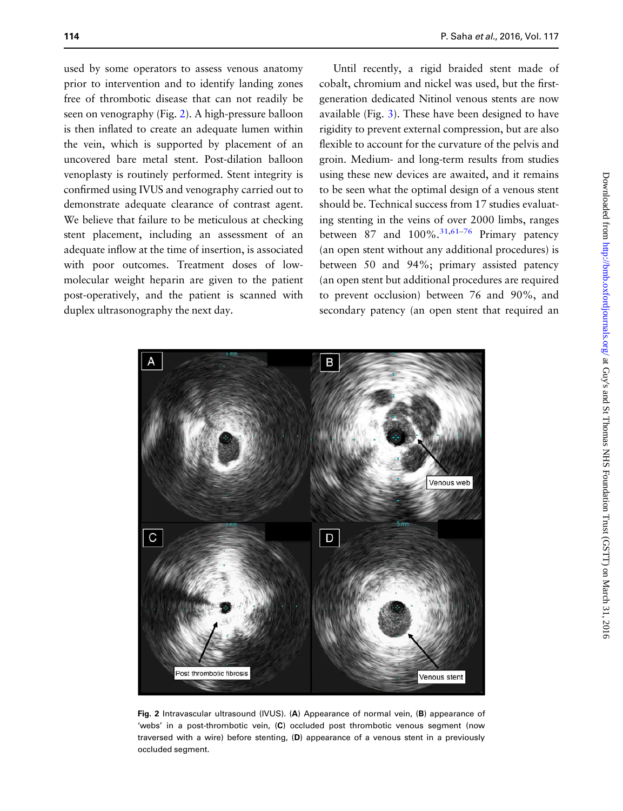used by some operators to assess venous anatomy prior to intervention and to identify landing zones free of thrombotic disease that can not readily be seen on venography (Fig. 2). A high-pressure balloon is then inflated to create an adequate lumen within the vein, which is supported by placement of an uncovered bare metal stent. Post-dilation balloon venoplasty is routinely performed. Stent integrity is confirmed using IVUS and venography carried out to demonstrate adequate clearance of contrast agent. We believe that failure to be meticulous at checking stent placement, including an assessment of an adequate inflow at the time of insertion, is associated with poor outcomes. Treatment doses of lowmolecular weight heparin are given to the patient post-operatively, and the patient is scanned with duplex ultrasonography the next day.

Until recently, a rigid braided stent made of cobalt, chromium and nickel was used, but the firstgeneration dedicated Nitinol venous stents are now available (Fig. [3\)](#page-8-0). These have been designed to have rigidity to prevent external compression, but are also flexible to account for the curvature of the pelvis and groin. Medium- and long-term results from studies using these new devices are awaited, and it remains to be seen what the optimal design of a venous stent should be. Technical success from 17 studies evaluating stenting in the veins of over 2000 limbs, ranges between 87 and  $100\%$ ,  $31,61-76$  $31,61-76$  $31,61-76$  $31,61-76$  Primary patency (an open stent without any additional procedures) is between 50 and 94%; primary assisted patency (an open stent but additional procedures are required to prevent occlusion) between 76 and 90%, and secondary patency (an open stent that required an



Fig. 2 Intravascular ultrasound (IVUS). (A) Appearance of normal vein, (B) appearance of 'webs' in a post-thrombotic vein, (C) occluded post thrombotic venous segment (now traversed with a wire) before stenting, (D) appearance of a venous stent in a previously occluded segment.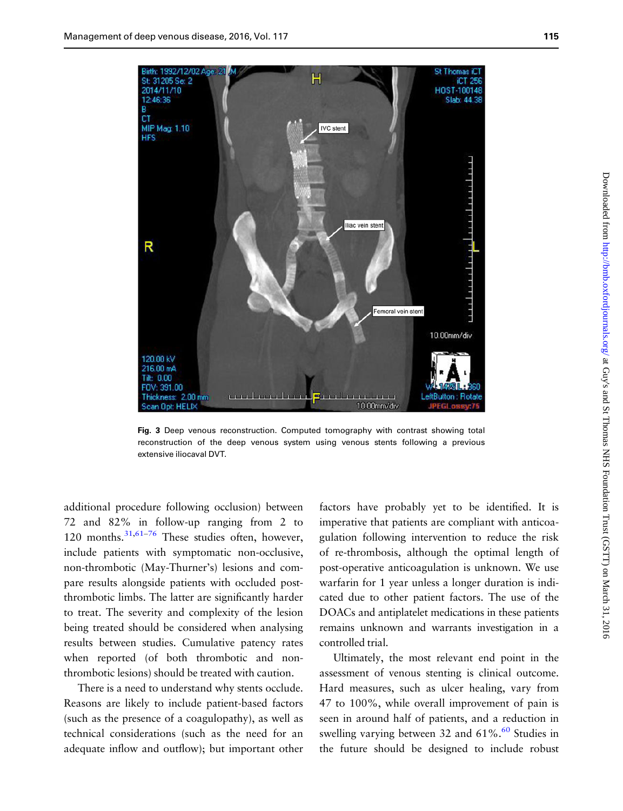<span id="page-8-0"></span>

Fig. 3 Deep venous reconstruction. Computed tomography with contrast showing total reconstruction of the deep venous system using venous stents following a previous extensive iliocaval DVT.

additional procedure following occlusion) between 72 and 82% in follow-up ranging from 2 to 120 months. $31,61-76$  $31,61-76$  $31,61-76$  $31,61-76$  These studies often, however, include patients with symptomatic non-occlusive, non-thrombotic (May-Thurner's) lesions and compare results alongside patients with occluded postthrombotic limbs. The latter are significantly harder to treat. The severity and complexity of the lesion being treated should be considered when analysing results between studies. Cumulative patency rates when reported (of both thrombotic and nonthrombotic lesions) should be treated with caution.

There is a need to understand why stents occlude. Reasons are likely to include patient-based factors (such as the presence of a coagulopathy), as well as technical considerations (such as the need for an adequate inflow and outflow); but important other factors have probably yet to be identified. It is imperative that patients are compliant with anticoagulation following intervention to reduce the risk of re-thrombosis, although the optimal length of post-operative anticoagulation is unknown. We use warfarin for 1 year unless a longer duration is indicated due to other patient factors. The use of the DOACs and antiplatelet medications in these patients remains unknown and warrants investigation in a controlled trial.

Ultimately, the most relevant end point in the assessment of venous stenting is clinical outcome. Hard measures, such as ulcer healing, vary from 47 to 100%, while overall improvement of pain is seen in around half of patients, and a reduction in swelling varying between 32 and  $61\%$ .<sup>60</sup> Studies in the future should be designed to include robust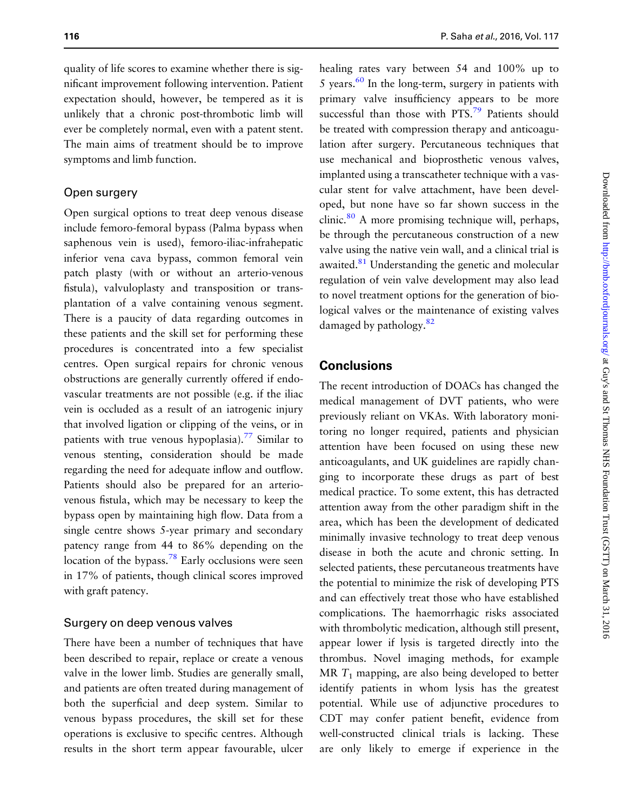quality of life scores to examine whether there is significant improvement following intervention. Patient expectation should, however, be tempered as it is unlikely that a chronic post-thrombotic limb will ever be completely normal, even with a patent stent. The main aims of treatment should be to improve symptoms and limb function.

#### Open surgery

Open surgical options to treat deep venous disease include femoro-femoral bypass (Palma bypass when saphenous vein is used), femoro-iliac-infrahepatic inferior vena cava bypass, common femoral vein patch plasty (with or without an arterio-venous fistula), valvuloplasty and transposition or transplantation of a valve containing venous segment. There is a paucity of data regarding outcomes in these patients and the skill set for performing these procedures is concentrated into a few specialist centres. Open surgical repairs for chronic venous obstructions are generally currently offered if endovascular treatments are not possible (e.g. if the iliac vein is occluded as a result of an iatrogenic injury that involved ligation or clipping of the veins, or in patients with true venous hypoplasia).<sup>[77](#page-12-0)</sup> Similar to venous stenting, consideration should be made regarding the need for adequate inflow and outflow. Patients should also be prepared for an arteriovenous fistula, which may be necessary to keep the bypass open by maintaining high flow. Data from a single centre shows 5-year primary and secondary patency range from 44 to 86% depending on the location of the bypass.<sup>[78](#page-12-0)</sup> Early occlusions were seen in 17% of patients, though clinical scores improved with graft patency.

#### Surgery on deep venous valves

There have been a number of techniques that have been described to repair, replace or create a venous valve in the lower limb. Studies are generally small, and patients are often treated during management of both the superficial and deep system. Similar to venous bypass procedures, the skill set for these operations is exclusive to specific centres. Although results in the short term appear favourable, ulcer healing rates vary between 54 and 100% up to 5 years. $\frac{60}{1}$  $\frac{60}{1}$  $\frac{60}{1}$  In the long-term, surgery in patients with primary valve insufficiency appears to be more successful than those with PTS.<sup>[79](#page-13-0)</sup> Patients should be treated with compression therapy and anticoagulation after surgery. Percutaneous techniques that use mechanical and bioprosthetic venous valves, implanted using a transcatheter technique with a vascular stent for valve attachment, have been developed, but none have so far shown success in the clinic.<sup>[80](#page-13-0)</sup> A more promising technique will, perhaps, be through the percutaneous construction of a new valve using the native vein wall, and a clinical trial is awaited.<sup>[81](#page-13-0)</sup> Understanding the genetic and molecular regulation of vein valve development may also lead to novel treatment options for the generation of biological valves or the maintenance of existing valves damaged by pathology. $82$ 

# Conclusions

The recent introduction of DOACs has changed the medical management of DVT patients, who were previously reliant on VKAs. With laboratory monitoring no longer required, patients and physician attention have been focused on using these new anticoagulants, and UK guidelines are rapidly changing to incorporate these drugs as part of best medical practice. To some extent, this has detracted attention away from the other paradigm shift in the area, which has been the development of dedicated minimally invasive technology to treat deep venous disease in both the acute and chronic setting. In selected patients, these percutaneous treatments have the potential to minimize the risk of developing PTS and can effectively treat those who have established complications. The haemorrhagic risks associated with thrombolytic medication, although still present, appear lower if lysis is targeted directly into the thrombus. Novel imaging methods, for example MR  $T_1$  mapping, are also being developed to better identify patients in whom lysis has the greatest potential. While use of adjunctive procedures to CDT may confer patient benefit, evidence from well-constructed clinical trials is lacking. These are only likely to emerge if experience in the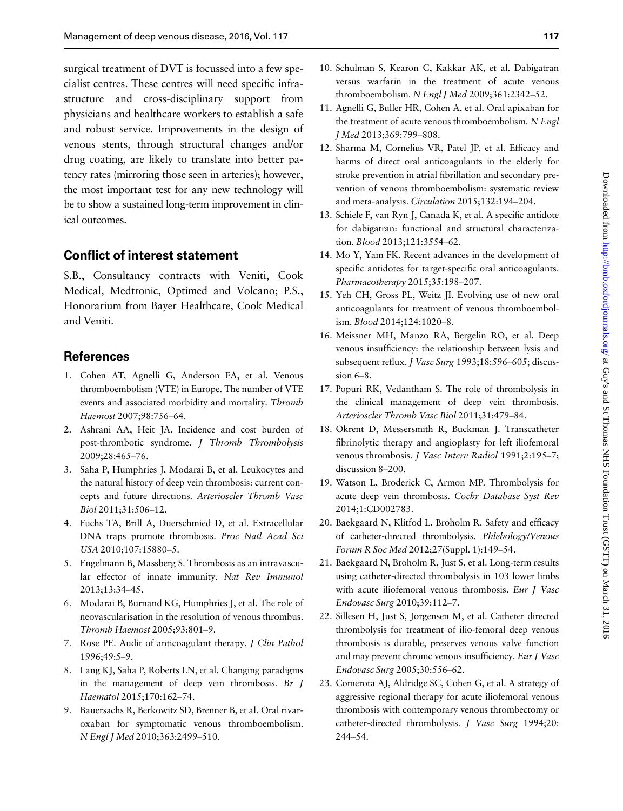<span id="page-10-0"></span>surgical treatment of DVT is focussed into a few specialist centres. These centres will need specific infrastructure and cross-disciplinary support from physicians and healthcare workers to establish a safe and robust service. Improvements in the design of venous stents, through structural changes and/or drug coating, are likely to translate into better patency rates (mirroring those seen in arteries); however, the most important test for any new technology will be to show a sustained long-term improvement in clinical outcomes.

# Conflict of interest statement

S.B., Consultancy contracts with Veniti, Cook Medical, Medtronic, Optimed and Volcano; P.S., Honorarium from Bayer Healthcare, Cook Medical and Veniti.

# **References**

- 1. Cohen AT, Agnelli G, Anderson FA, et al. Venous thromboembolism (VTE) in Europe. The number of VTE events and associated morbidity and mortality. Thromb Haemost 2007;98:756–64.
- 2. Ashrani AA, Heit JA. Incidence and cost burden of post-thrombotic syndrome. *J Thromb Thrombolysis* 2009;28:465–76.
- 3. Saha P, Humphries J, Modarai B, et al. Leukocytes and the natural history of deep vein thrombosis: current concepts and future directions. Arterioscler Thromb Vasc Biol 2011;31:506–12.
- 4. Fuchs TA, Brill A, Duerschmied D, et al. Extracellular DNA traps promote thrombosis. Proc Natl Acad Sci USA 2010;107:15880–5.
- 5. Engelmann B, Massberg S. Thrombosis as an intravascular effector of innate immunity. Nat Rev Immunol 2013;13:34–45.
- 6. Modarai B, Burnand KG, Humphries J, et al. The role of neovascularisation in the resolution of venous thrombus. Thromb Haemost 2005;93:801–9.
- 7. Rose PE. Audit of anticoagulant therapy. J Clin Pathol 1996;49:5–9.
- 8. Lang KJ, Saha P, Roberts LN, et al. Changing paradigms in the management of deep vein thrombosis. Br J Haematol 2015;170:162–74.
- 9. Bauersachs R, Berkowitz SD, Brenner B, et al. Oral rivaroxaban for symptomatic venous thromboembolism. N Engl J Med 2010;363:2499–510.
- 10. Schulman S, Kearon C, Kakkar AK, et al. Dabigatran versus warfarin in the treatment of acute venous thromboembolism. N Engl J Med 2009;361:2342–52.
- 11. Agnelli G, Buller HR, Cohen A, et al. Oral apixaban for the treatment of acute venous thromboembolism. N Engl J Med 2013;369:799–808.
- 12. Sharma M, Cornelius VR, Patel JP, et al. Efficacy and harms of direct oral anticoagulants in the elderly for stroke prevention in atrial fibrillation and secondary prevention of venous thromboembolism: systematic review and meta-analysis. Circulation 2015;132:194–204.
- 13. Schiele F, van Ryn J, Canada K, et al. A specific antidote for dabigatran: functional and structural characterization. Blood 2013;121:3554–62.
- 14. Mo Y, Yam FK. Recent advances in the development of specific antidotes for target-specific oral anticoagulants. Pharmacotherapy 2015;35:198–207.
- 15. Yeh CH, Gross PL, Weitz JI. Evolving use of new oral anticoagulants for treatment of venous thromboembolism. Blood 2014;124:1020–8.
- 16. Meissner MH, Manzo RA, Bergelin RO, et al. Deep venous insufficiency: the relationship between lysis and subsequent reflux. J Vasc Surg 1993;18:596–605; discussion 6–8.
- 17. Popuri RK, Vedantham S. The role of thrombolysis in the clinical management of deep vein thrombosis. Arterioscler Thromb Vasc Biol 2011;31:479–84.
- 18. Okrent D, Messersmith R, Buckman J. Transcatheter fibrinolytic therapy and angioplasty for left iliofemoral venous thrombosis. J Vasc Interv Radiol 1991;2:195-7; discussion 8–200.
- 19. Watson L, Broderick C, Armon MP. Thrombolysis for acute deep vein thrombosis. Cochr Database Syst Rev 2014;1:CD002783.
- 20. Baekgaard N, Klitfod L, Broholm R. Safety and efficacy of catheter-directed thrombolysis. Phlebology/Venous Forum R Soc Med 2012;27(Suppl. 1):149–54.
- 21. Baekgaard N, Broholm R, Just S, et al. Long-term results using catheter-directed thrombolysis in 103 lower limbs with acute iliofemoral venous thrombosis. Eur J Vasc Endovasc Surg 2010;39:112–7.
- 22. Sillesen H, Just S, Jorgensen M, et al. Catheter directed thrombolysis for treatment of ilio-femoral deep venous thrombosis is durable, preserves venous valve function and may prevent chronic venous insufficiency. Eur J Vasc Endovasc Surg 2005;30:556–62.
- 23. Comerota AJ, Aldridge SC, Cohen G, et al. A strategy of aggressive regional therapy for acute iliofemoral venous thrombosis with contemporary venous thrombectomy or catheter-directed thrombolysis. J Vasc Surg 1994;20: 244–54.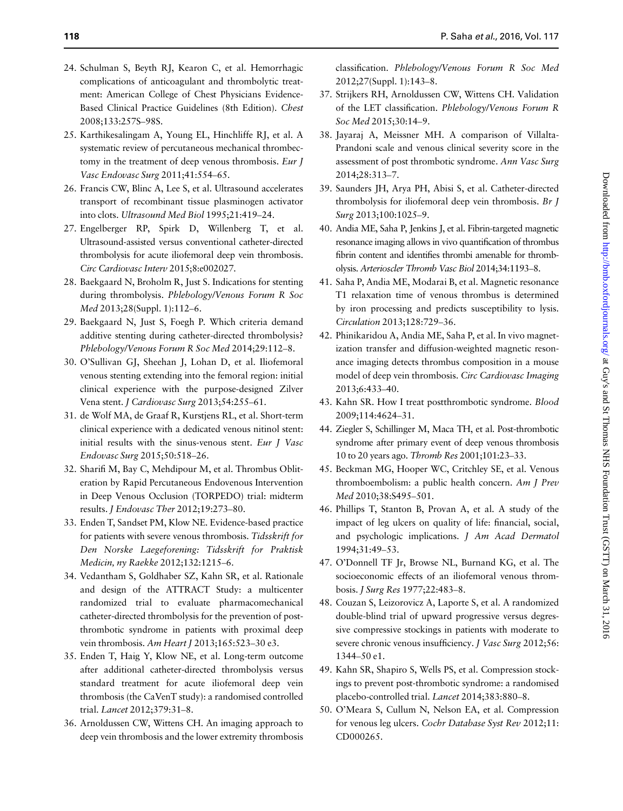- <span id="page-11-0"></span>24. Schulman S, Beyth RJ, Kearon C, et al. Hemorrhagic complications of anticoagulant and thrombolytic treatment: American College of Chest Physicians Evidence-Based Clinical Practice Guidelines (8th Edition). Chest 2008;133:257S–98S.
- 25. Karthikesalingam A, Young EL, Hinchliffe RJ, et al. A systematic review of percutaneous mechanical thrombectomy in the treatment of deep venous thrombosis. Eur J Vasc Endovasc Surg 2011;41:554–65.
- 26. Francis CW, Blinc A, Lee S, et al. Ultrasound accelerates transport of recombinant tissue plasminogen activator into clots. Ultrasound Med Biol 1995;21:419–24.
- 27. Engelberger RP, Spirk D, Willenberg T, et al. Ultrasound-assisted versus conventional catheter-directed thrombolysis for acute iliofemoral deep vein thrombosis. Circ Cardiovasc Interv 2015;8:e002027.
- 28. Baekgaard N, Broholm R, Just S. Indications for stenting during thrombolysis. Phlebology/Venous Forum R Soc Med 2013;28(Suppl. 1):112–6.
- 29. Baekgaard N, Just S, Foegh P. Which criteria demand additive stenting during catheter-directed thrombolysis? Phlebology/Venous Forum R Soc Med 2014;29:112–8.
- 30. O'Sullivan GJ, Sheehan J, Lohan D, et al. Iliofemoral venous stenting extending into the femoral region: initial clinical experience with the purpose-designed Zilver Vena stent. J Cardiovasc Surg 2013;54:255–61.
- 31. de Wolf MA, de Graaf R, Kurstjens RL, et al. Short-term clinical experience with a dedicated venous nitinol stent: initial results with the sinus-venous stent. Eur J Vasc Endovasc Surg 2015;50:518–26.
- 32. Sharifi M, Bay C, Mehdipour M, et al. Thrombus Obliteration by Rapid Percutaneous Endovenous Intervention in Deep Venous Occlusion (TORPEDO) trial: midterm results. J Endovasc Ther 2012;19:273–80.
- 33. Enden T, Sandset PM, Klow NE. Evidence-based practice for patients with severe venous thrombosis. Tidsskrift for Den Norske Laegeforening: Tidsskrift for Praktisk Medicin, ny Raekke 2012;132:1215–6.
- 34. Vedantham S, Goldhaber SZ, Kahn SR, et al. Rationale and design of the ATTRACT Study: a multicenter randomized trial to evaluate pharmacomechanical catheter-directed thrombolysis for the prevention of postthrombotic syndrome in patients with proximal deep vein thrombosis. Am Heart J 2013;165:523-30 e3.
- 35. Enden T, Haig Y, Klow NE, et al. Long-term outcome after additional catheter-directed thrombolysis versus standard treatment for acute iliofemoral deep vein thrombosis (the CaVenT study): a randomised controlled trial. Lancet 2012;379:31–8.
- 36. Arnoldussen CW, Wittens CH. An imaging approach to deep vein thrombosis and the lower extremity thrombosis

classification. Phlebology/Venous Forum R Soc Med 2012;27(Suppl. 1):143–8.

- 37. Strijkers RH, Arnoldussen CW, Wittens CH. Validation of the LET classification. Phlebology/Venous Forum R Soc Med 2015;30:14–9.
- 38. Jayaraj A, Meissner MH. A comparison of Villalta-Prandoni scale and venous clinical severity score in the assessment of post thrombotic syndrome. Ann Vasc Surg 2014;28:313–7.
- 39. Saunders JH, Arya PH, Abisi S, et al. Catheter-directed thrombolysis for iliofemoral deep vein thrombosis. Br J Surg 2013;100:1025–9.
- 40. Andia ME, Saha P, Jenkins J, et al. Fibrin-targeted magnetic resonance imaging allows in vivo quantification of thrombus fibrin content and identifies thrombi amenable for thrombolysis. Arterioscler Thromb Vasc Biol 2014;34:1193–8.
- 41. Saha P, Andia ME, Modarai B, et al. Magnetic resonance T1 relaxation time of venous thrombus is determined by iron processing and predicts susceptibility to lysis. Circulation 2013;128:729–36.
- 42. Phinikaridou A, Andia ME, Saha P, et al. In vivo magnetization transfer and diffusion-weighted magnetic resonance imaging detects thrombus composition in a mouse model of deep vein thrombosis. Circ Cardiovasc Imaging 2013;6:433–40.
- 43. Kahn SR. How I treat postthrombotic syndrome. Blood 2009;114:4624–31.
- 44. Ziegler S, Schillinger M, Maca TH, et al. Post-thrombotic syndrome after primary event of deep venous thrombosis 10 to 20 years ago. Thromb Res 2001;101:23–33.
- 45. Beckman MG, Hooper WC, Critchley SE, et al. Venous thromboembolism: a public health concern. Am J Prev Med 2010;38:S495–501.
- 46. Phillips T, Stanton B, Provan A, et al. A study of the impact of leg ulcers on quality of life: financial, social, and psychologic implications. J Am Acad Dermatol 1994;31:49–53.
- 47. O'Donnell TF Jr, Browse NL, Burnand KG, et al. The socioeconomic effects of an iliofemoral venous thrombosis. J Surg Res 1977;22:483–8.
- 48. Couzan S, Leizorovicz A, Laporte S, et al. A randomized double-blind trial of upward progressive versus degressive compressive stockings in patients with moderate to severe chronic venous insufficiency. J Vasc Surg 2012;56: 1344–50 e1.
- 49. Kahn SR, Shapiro S, Wells PS, et al. Compression stockings to prevent post-thrombotic syndrome: a randomised placebo-controlled trial. Lancet 2014;383:880–8.
- 50. O'Meara S, Cullum N, Nelson EA, et al. Compression for venous leg ulcers. Cochr Database Syst Rev 2012;11: CD000265.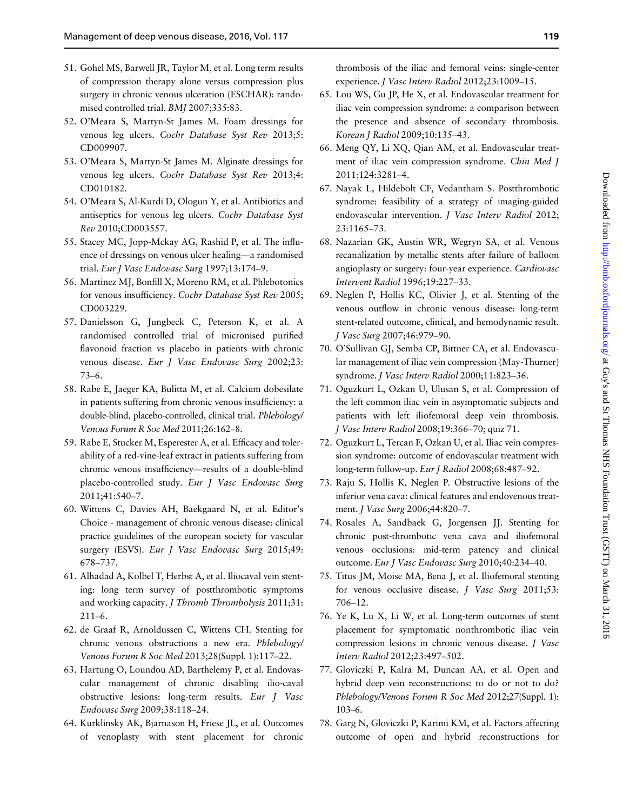- <span id="page-12-0"></span>51. Gohel MS, Barwell JR, Taylor M, et al. Long term results of compression therapy alone versus compression plus surgery in chronic venous ulceration (ESCHAR): randomised controlled trial. BMJ 2007;335:83.
- 52. O'Meara S, Martyn-St James M. Foam dressings for venous leg ulcers. Cochr Database Syst Rev 2013;5: CD009907.
- 53. O'Meara S, Martyn-St James M. Alginate dressings for venous leg ulcers. Cochr Database Syst Rev 2013;4: CD010182.
- 54. O'Meara S, Al-Kurdi D, Ologun Y, et al. Antibiotics and antiseptics for venous leg ulcers. Cochr Database Syst Rev 2010;CD003557.
- 55. Stacey MC, Jopp-Mckay AG, Rashid P, et al. The influence of dressings on venous ulcer healing—a randomised trial. Eur J Vasc Endovasc Surg 1997;13:174–9.
- 56. Martinez MJ, Bonfill X, Moreno RM, et al. Phlebotonics for venous insufficiency. Cochr Database Syst Rev 2005; CD003229.
- 57. Danielsson G, Jungbeck C, Peterson K, et al. A randomised controlled trial of micronised purified flavonoid fraction vs placebo in patients with chronic venous disease. Eur J Vasc Endovasc Surg 2002;23: 73–6.
- 58. Rabe E, Jaeger KA, Bulitta M, et al. Calcium dobesilate in patients suffering from chronic venous insufficiency: a double-blind, placebo-controlled, clinical trial. Phlebology/ Venous Forum R Soc Med 2011;26:162–8.
- 59. Rabe E, Stucker M, Esperester A, et al. Efficacy and tolerability of a red-vine-leaf extract in patients suffering from chronic venous insufficiency—results of a double-blind placebo-controlled study. Eur J Vasc Endovasc Surg 2011;41:540–7.
- 60. Wittens C, Davies AH, Baekgaard N, et al. Editor's Choice - management of chronic venous disease: clinical practice guidelines of the european society for vascular surgery (ESVS). Eur J Vasc Endovasc Surg 2015;49: 678–737.
- 61. Alhadad A, Kolbel T, Herbst A, et al. Iliocaval vein stenting: long term survey of postthrombotic symptoms and working capacity. J Thromb Thrombolysis 2011;31: 211–6.
- 62. de Graaf R, Arnoldussen C, Wittens CH. Stenting for chronic venous obstructions a new era. Phlebology/ Venous Forum R Soc Med 2013;28(Suppl. 1):117–22.
- 63. Hartung O, Loundou AD, Barthelemy P, et al. Endovascular management of chronic disabling ilio-caval obstructive lesions: long-term results. Eur J Vasc Endovasc Surg 2009;38:118–24.
- 64. Kurklinsky AK, Bjarnason H, Friese JL, et al. Outcomes of venoplasty with stent placement for chronic

thrombosis of the iliac and femoral veins: single-center experience. J Vasc Interv Radiol 2012;23:1009–15.

- 65. Lou WS, Gu JP, He X, et al. Endovascular treatment for iliac vein compression syndrome: a comparison between the presence and absence of secondary thrombosis. Korean J Radiol 2009;10:135–43.
- 66. Meng QY, Li XQ, Qian AM, et al. Endovascular treatment of iliac vein compression syndrome. Chin Med J 2011;124:3281–4.
- 67. Nayak L, Hildebolt CF, Vedantham S. Postthrombotic syndrome: feasibility of a strategy of imaging-guided endovascular intervention. J Vasc Interv Radiol 2012; 23:1165–73.
- 68. Nazarian GK, Austin WR, Wegryn SA, et al. Venous recanalization by metallic stents after failure of balloon angioplasty or surgery: four-year experience. Cardiovasc Intervent Radiol 1996;19:227–33.
- 69. Neglen P, Hollis KC, Olivier J, et al. Stenting of the venous outflow in chronic venous disease: long-term stent-related outcome, clinical, and hemodynamic result. J Vasc Surg 2007;46:979–90.
- 70. O'Sullivan GJ, Semba CP, Bittner CA, et al. Endovascular management of iliac vein compression (May-Thurner) syndrome. J Vasc Interv Radiol 2000;11:823–36.
- 71. Oguzkurt L, Ozkan U, Ulusan S, et al. Compression of the left common iliac vein in asymptomatic subjects and patients with left iliofemoral deep vein thrombosis. J Vasc Interv Radiol 2008;19:366–70; quiz 71.
- 72. Oguzkurt L, Tercan F, Ozkan U, et al. Iliac vein compression syndrome: outcome of endovascular treatment with long-term follow-up. Eur J Radiol 2008;68:487–92.
- 73. Raju S, Hollis K, Neglen P. Obstructive lesions of the inferior vena cava: clinical features and endovenous treatment. J Vasc Surg 2006;44:820–7.
- 74. Rosales A, Sandbaek G, Jorgensen JJ. Stenting for chronic post-thrombotic vena cava and iliofemoral venous occlusions: mid-term patency and clinical outcome. Eur J Vasc Endovasc Surg 2010;40:234–40.
- 75. Titus JM, Moise MA, Bena J, et al. Iliofemoral stenting for venous occlusive disease. J Vasc Surg 2011;53: 706–12.
- 76. Ye K, Lu X, Li W, et al. Long-term outcomes of stent placement for symptomatic nonthrombotic iliac vein compression lesions in chronic venous disease. J Vasc Interv Radiol 2012;23:497–502.
- 77. Gloviczki P, Kalra M, Duncan AA, et al. Open and hybrid deep vein reconstructions: to do or not to do? Phlebology/Venous Forum R Soc Med 2012;27(Suppl. 1): 103–6.
- 78. Garg N, Gloviczki P, Karimi KM, et al. Factors affecting outcome of open and hybrid reconstructions for